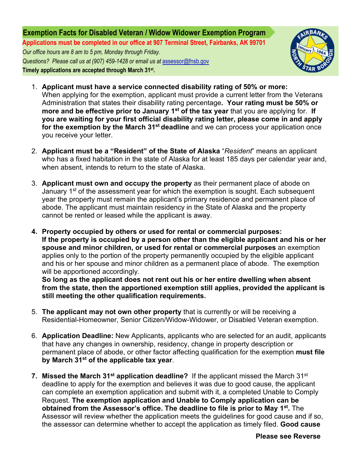## **Exemption Facts for Disabled Veteran / Widow Widower Exemption Program Applications must be completed in our office at 907 Terminal Street, Fairbanks, AK 99701**  *Our office hours are 8 am to 5 pm, Monday through Friday.*

 *Questions? Please call us at (907) 459-1428 or email us at* [assessor@fnsb.](mailto:assessor@fnsb.us)gov **Timely applications are accepted through March 31 st .**



- 1. **Applicant must have a service connected disability rating of 50% or more:** When applying for the exemption, applicant must provide a current letter from the Veterans Administration that states their disability rating percentage**. Your rating must be 50% or more and be effective prior to January 1st of the tax year** that you are applying for. **If you are waiting for your first official disability rating letter, please come in and apply** for the exemption by the March 31<sup>st</sup> deadline and we can process your application once you receive your letter.
- 2. **Applicant must be a "Resident" of the State of Alaska** "*Resident*" means an applicant who has a fixed habitation in the state of Alaska for at least 185 days per calendar year and, when absent, intends to return to the state of Alaska.
- 3. **Applicant must own and occupy the property** as their permanent place of abode on January 1<sup>st</sup> of the assessment year for which the exemption is sought. Each subsequent year the property must remain the applicant's primary residence and permanent place of abode. The applicant must maintain residency in the State of Alaska and the property cannot be rented or leased while the applicant is away.
- **4. Property occupied by others or used for rental or commercial purposes: If the property is occupied by a person other than the eligible applicant and his or her spouse and minor children, or used for rental or commercial purposes** an exemption applies only to the portion of the property permanently occupied by the eligible applicant and his or her spouse and minor children as a permanent place of abode. The exemption will be apportioned accordingly.

**So long as the applicant does not rent out his or her entire dwelling when absent from the state, then the apportioned exemption still applies, provided the applicant is still meeting the other qualification requirements.**

- 5. **The applicant may not own other property** that is currently or will be receiving a Residential-Homeowner, Senior Citizen/Widow-Widower, or Disabled Veteran exemption.
- 6. **Application Deadline:** New Applicants, applicants who are selected for an audit, applicants that have any changes in ownership, residency, change in property description or permanent place of abode, or other factor affecting qualification for the exemption **must file by March 31st of the applicable tax year**.
- **7. Missed the March 31<sup>st</sup> application deadline?** If the applicant missed the March 31<sup>st</sup> deadline to apply for the exemption and believes it was due to good cause, the applicant can complete an exemption application and submit with it, a completed Unable to Comply Request. **The exemption application and Unable to Comply application can be obtained from the Assessor's office. The deadline to file is prior to May 1st.** The Assessor will review whether the application meets the guidelines for good cause and if so, the assessor can determine whether to accept the application as timely filed. **Good cause**